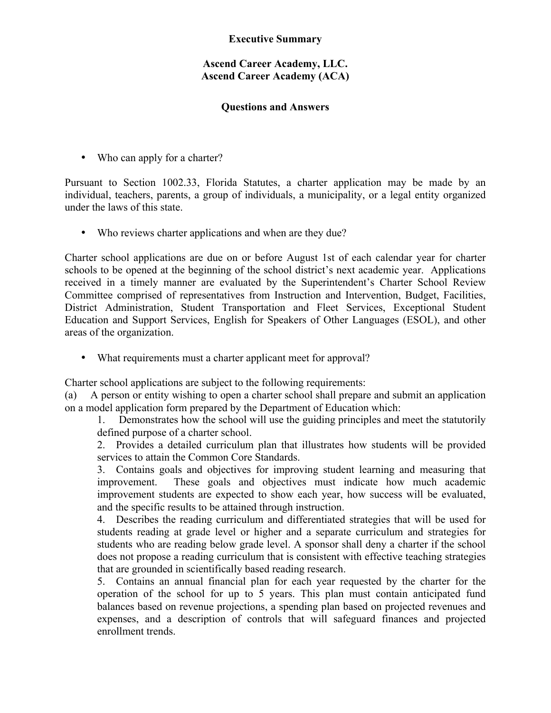## **Executive Summary**

## **Ascend Career Academy, LLC. Ascend Career Academy (ACA)**

## **Questions and Answers**

• Who can apply for a charter?

Pursuant to Section 1002.33, Florida Statutes, a charter application may be made by an individual, teachers, parents, a group of individuals, a municipality, or a legal entity organized under the laws of this state.

• Who reviews charter applications and when are they due?

Charter school applications are due on or before August 1st of each calendar year for charter schools to be opened at the beginning of the school district's next academic year. Applications received in a timely manner are evaluated by the Superintendent's Charter School Review Committee comprised of representatives from Instruction and Intervention, Budget, Facilities, District Administration, Student Transportation and Fleet Services, Exceptional Student Education and Support Services, English for Speakers of Other Languages (ESOL), and other areas of the organization.

• What requirements must a charter applicant meet for approval?

Charter school applications are subject to the following requirements:

(a) A person or entity wishing to open a charter school shall prepare and submit an application on a model application form prepared by the Department of Education which:

1. Demonstrates how the school will use the guiding principles and meet the statutorily defined purpose of a charter school.

2. Provides a detailed curriculum plan that illustrates how students will be provided services to attain the Common Core Standards.

3. Contains goals and objectives for improving student learning and measuring that improvement. These goals and objectives must indicate how much academic improvement students are expected to show each year, how success will be evaluated, and the specific results to be attained through instruction.

4. Describes the reading curriculum and differentiated strategies that will be used for students reading at grade level or higher and a separate curriculum and strategies for students who are reading below grade level. A sponsor shall deny a charter if the school does not propose a reading curriculum that is consistent with effective teaching strategies that are grounded in scientifically based reading research.

5. Contains an annual financial plan for each year requested by the charter for the operation of the school for up to 5 years. This plan must contain anticipated fund balances based on revenue projections, a spending plan based on projected revenues and expenses, and a description of controls that will safeguard finances and projected enrollment trends.